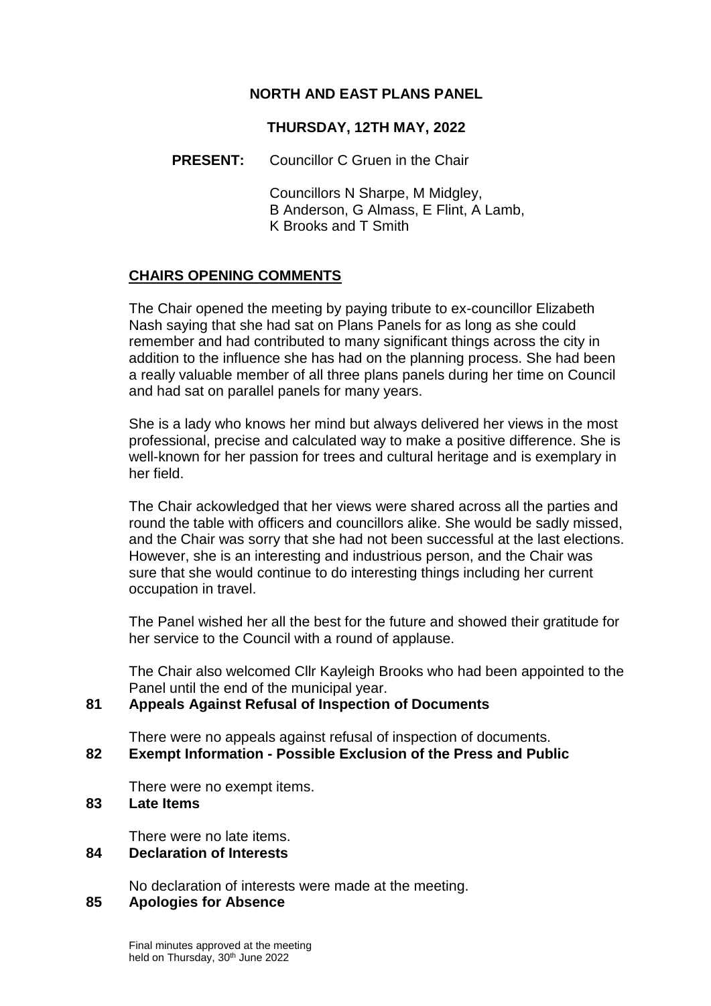# **NORTH AND EAST PLANS PANEL**

# **THURSDAY, 12TH MAY, 2022**

# **PRESENT:** Councillor C Gruen in the Chair

Councillors N Sharpe, M Midgley, B Anderson, G Almass, E Flint, A Lamb, K Brooks and T Smith

# **CHAIRS OPENING COMMENTS**

The Chair opened the meeting by paying tribute to ex-councillor Elizabeth Nash saying that she had sat on Plans Panels for as long as she could remember and had contributed to many significant things across the city in addition to the influence she has had on the planning process. She had been a really valuable member of all three plans panels during her time on Council and had sat on parallel panels for many years.

She is a lady who knows her mind but always delivered her views in the most professional, precise and calculated way to make a positive difference. She is well-known for her passion for trees and cultural heritage and is exemplary in her field.

The Chair ackowledged that her views were shared across all the parties and round the table with officers and councillors alike. She would be sadly missed, and the Chair was sorry that she had not been successful at the last elections. However, she is an interesting and industrious person, and the Chair was sure that she would continue to do interesting things including her current occupation in travel.

The Panel wished her all the best for the future and showed their gratitude for her service to the Council with a round of applause.

The Chair also welcomed Cllr Kayleigh Brooks who had been appointed to the Panel until the end of the municipal year.

# **81 Appeals Against Refusal of Inspection of Documents**

There were no appeals against refusal of inspection of documents. **82 Exempt Information - Possible Exclusion of the Press and Public**

There were no exempt items.

### **83 Late Items**

There were no late items.

#### **84 Declaration of Interests**

No declaration of interests were made at the meeting.

# **85 Apologies for Absence**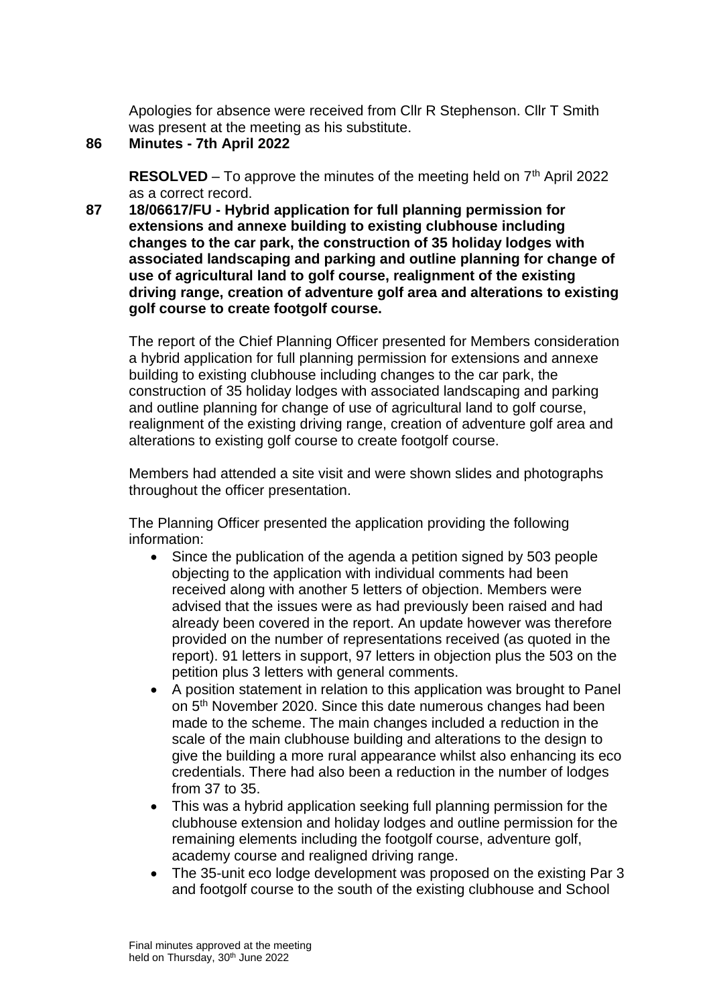Apologies for absence were received from Cllr R Stephenson. Cllr T Smith was present at the meeting as his substitute.

# **86 Minutes - 7th April 2022**

**RESOLVED** – To approve the minutes of the meeting held on  $7<sup>th</sup>$  April 2022 as a correct record.

**87 18/06617/FU - Hybrid application for full planning permission for extensions and annexe building to existing clubhouse including changes to the car park, the construction of 35 holiday lodges with associated landscaping and parking and outline planning for change of use of agricultural land to golf course, realignment of the existing driving range, creation of adventure golf area and alterations to existing golf course to create footgolf course.**

The report of the Chief Planning Officer presented for Members consideration a hybrid application for full planning permission for extensions and annexe building to existing clubhouse including changes to the car park, the construction of 35 holiday lodges with associated landscaping and parking and outline planning for change of use of agricultural land to golf course, realignment of the existing driving range, creation of adventure golf area and alterations to existing golf course to create footgolf course.

Members had attended a site visit and were shown slides and photographs throughout the officer presentation.

The Planning Officer presented the application providing the following information:

- Since the publication of the agenda a petition signed by 503 people objecting to the application with individual comments had been received along with another 5 letters of objection. Members were advised that the issues were as had previously been raised and had already been covered in the report. An update however was therefore provided on the number of representations received (as quoted in the report). 91 letters in support, 97 letters in objection plus the 503 on the petition plus 3 letters with general comments.
- A position statement in relation to this application was brought to Panel on 5<sup>th</sup> November 2020. Since this date numerous changes had been made to the scheme. The main changes included a reduction in the scale of the main clubhouse building and alterations to the design to give the building a more rural appearance whilst also enhancing its eco credentials. There had also been a reduction in the number of lodges from 37 to 35.
- This was a hybrid application seeking full planning permission for the clubhouse extension and holiday lodges and outline permission for the remaining elements including the footgolf course, adventure golf, academy course and realigned driving range.
- The 35-unit eco lodge development was proposed on the existing Par 3 and footgolf course to the south of the existing clubhouse and School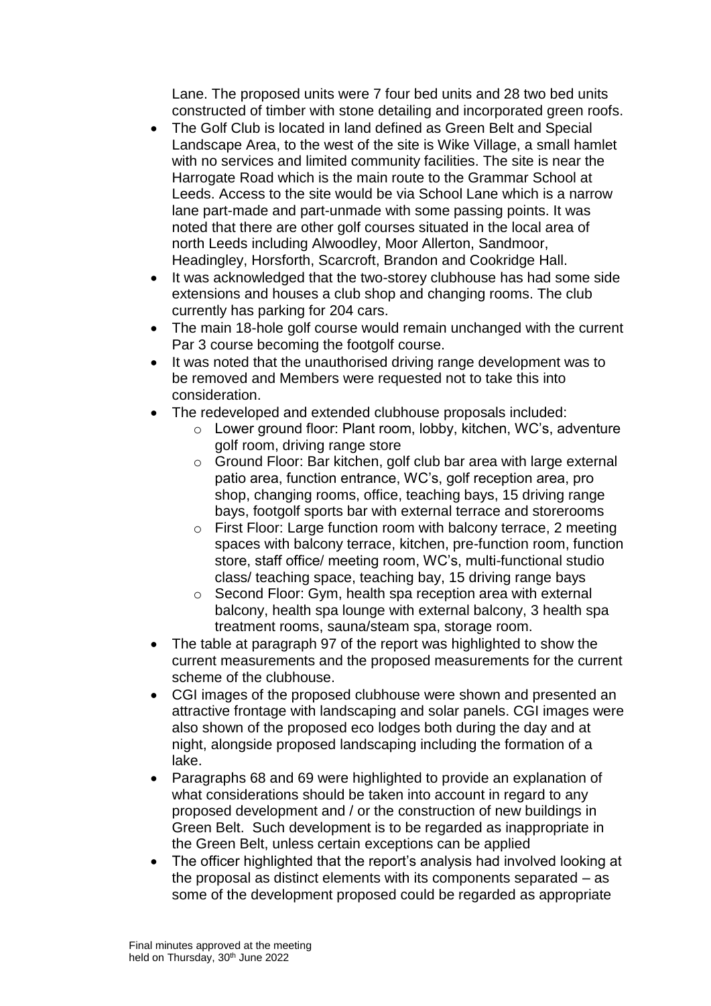Lane. The proposed units were 7 four bed units and 28 two bed units constructed of timber with stone detailing and incorporated green roofs.

- The Golf Club is located in land defined as Green Belt and Special Landscape Area, to the west of the site is Wike Village, a small hamlet with no services and limited community facilities. The site is near the Harrogate Road which is the main route to the Grammar School at Leeds. Access to the site would be via School Lane which is a narrow lane part-made and part-unmade with some passing points. It was noted that there are other golf courses situated in the local area of north Leeds including Alwoodley, Moor Allerton, Sandmoor, Headingley, Horsforth, Scarcroft, Brandon and Cookridge Hall.
- It was acknowledged that the two-storey clubhouse has had some side extensions and houses a club shop and changing rooms. The club currently has parking for 204 cars.
- The main 18-hole golf course would remain unchanged with the current Par 3 course becoming the footgolf course.
- It was noted that the unauthorised driving range development was to be removed and Members were requested not to take this into consideration.
- The redeveloped and extended clubhouse proposals included:
	- o Lower ground floor: Plant room, lobby, kitchen, WC's, adventure golf room, driving range store
	- o Ground Floor: Bar kitchen, golf club bar area with large external patio area, function entrance, WC's, golf reception area, pro shop, changing rooms, office, teaching bays, 15 driving range bays, footgolf sports bar with external terrace and storerooms
	- o First Floor: Large function room with balcony terrace, 2 meeting spaces with balcony terrace, kitchen, pre-function room, function store, staff office/ meeting room, WC's, multi-functional studio class/ teaching space, teaching bay, 15 driving range bays
	- o Second Floor: Gym, health spa reception area with external balcony, health spa lounge with external balcony, 3 health spa treatment rooms, sauna/steam spa, storage room.
- The table at paragraph 97 of the report was highlighted to show the current measurements and the proposed measurements for the current scheme of the clubhouse.
- CGI images of the proposed clubhouse were shown and presented an attractive frontage with landscaping and solar panels. CGI images were also shown of the proposed eco lodges both during the day and at night, alongside proposed landscaping including the formation of a lake.
- Paragraphs 68 and 69 were highlighted to provide an explanation of what considerations should be taken into account in regard to any proposed development and / or the construction of new buildings in Green Belt. Such development is to be regarded as inappropriate in the Green Belt, unless certain exceptions can be applied
- The officer highlighted that the report's analysis had involved looking at the proposal as distinct elements with its components separated – as some of the development proposed could be regarded as appropriate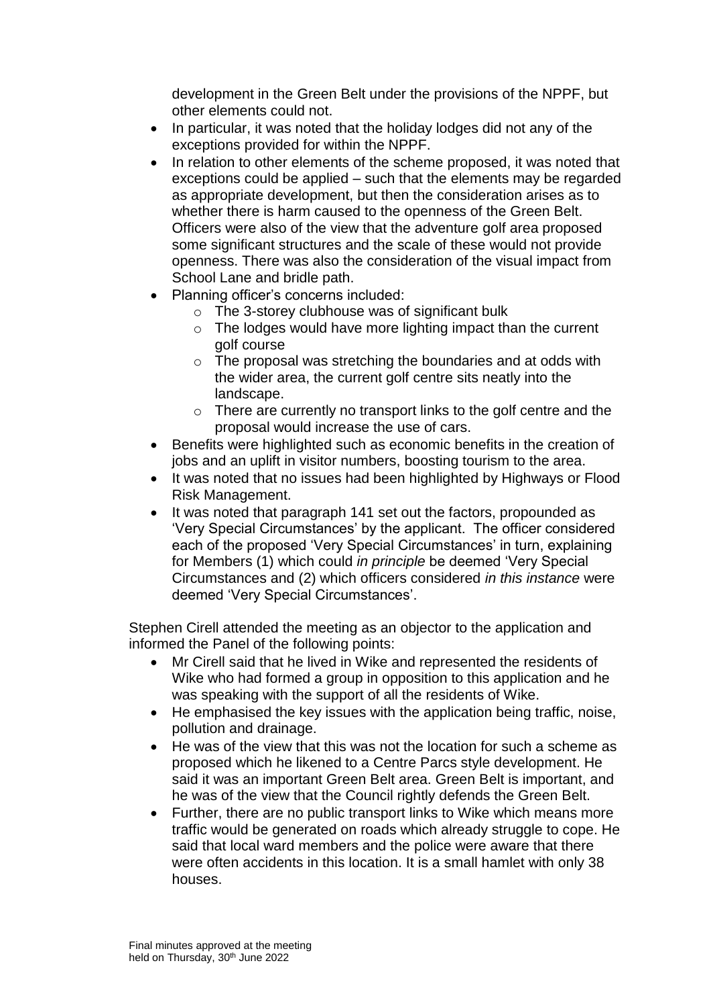development in the Green Belt under the provisions of the NPPF, but other elements could not.

- In particular, it was noted that the holiday lodges did not any of the exceptions provided for within the NPPF.
- In relation to other elements of the scheme proposed, it was noted that exceptions could be applied – such that the elements may be regarded as appropriate development, but then the consideration arises as to whether there is harm caused to the openness of the Green Belt. Officers were also of the view that the adventure golf area proposed some significant structures and the scale of these would not provide openness. There was also the consideration of the visual impact from School Lane and bridle path.
- Planning officer's concerns included:
	- $\circ$  The 3-storey clubhouse was of significant bulk
	- $\circ$  The lodges would have more lighting impact than the current golf course
	- $\circ$  The proposal was stretching the boundaries and at odds with the wider area, the current golf centre sits neatly into the landscape.
	- o There are currently no transport links to the golf centre and the proposal would increase the use of cars.
- Benefits were highlighted such as economic benefits in the creation of jobs and an uplift in visitor numbers, boosting tourism to the area.
- It was noted that no issues had been highlighted by Highways or Flood Risk Management.
- It was noted that paragraph 141 set out the factors, propounded as 'Very Special Circumstances' by the applicant. The officer considered each of the proposed 'Very Special Circumstances' in turn, explaining for Members (1) which could *in principle* be deemed 'Very Special Circumstances and (2) which officers considered *in this instance* were deemed 'Very Special Circumstances'.

Stephen Cirell attended the meeting as an objector to the application and informed the Panel of the following points:

- Mr Cirell said that he lived in Wike and represented the residents of Wike who had formed a group in opposition to this application and he was speaking with the support of all the residents of Wike.
- He emphasised the key issues with the application being traffic, noise, pollution and drainage.
- He was of the view that this was not the location for such a scheme as proposed which he likened to a Centre Parcs style development. He said it was an important Green Belt area. Green Belt is important, and he was of the view that the Council rightly defends the Green Belt.
- Further, there are no public transport links to Wike which means more traffic would be generated on roads which already struggle to cope. He said that local ward members and the police were aware that there were often accidents in this location. It is a small hamlet with only 38 houses.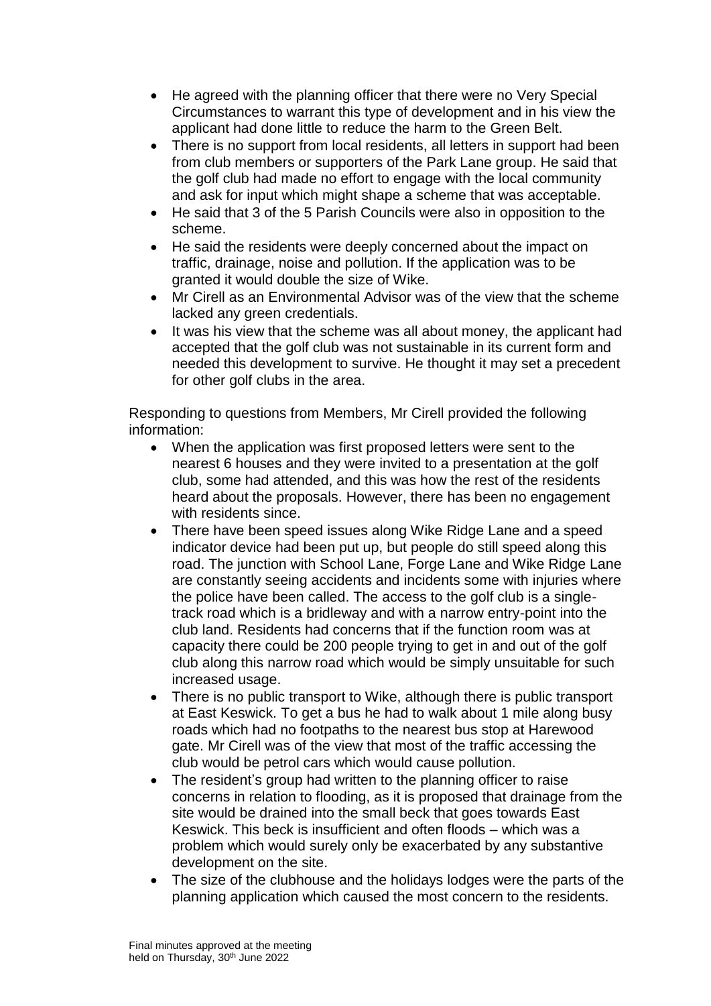- He agreed with the planning officer that there were no Very Special Circumstances to warrant this type of development and in his view the applicant had done little to reduce the harm to the Green Belt.
- There is no support from local residents, all letters in support had been from club members or supporters of the Park Lane group. He said that the golf club had made no effort to engage with the local community and ask for input which might shape a scheme that was acceptable.
- He said that 3 of the 5 Parish Councils were also in opposition to the scheme.
- He said the residents were deeply concerned about the impact on traffic, drainage, noise and pollution. If the application was to be granted it would double the size of Wike.
- Mr Cirell as an Environmental Advisor was of the view that the scheme lacked any green credentials.
- It was his view that the scheme was all about money, the applicant had accepted that the golf club was not sustainable in its current form and needed this development to survive. He thought it may set a precedent for other golf clubs in the area.

Responding to questions from Members, Mr Cirell provided the following information:

- When the application was first proposed letters were sent to the nearest 6 houses and they were invited to a presentation at the golf club, some had attended, and this was how the rest of the residents heard about the proposals. However, there has been no engagement with residents since.
- There have been speed issues along Wike Ridge Lane and a speed indicator device had been put up, but people do still speed along this road. The junction with School Lane, Forge Lane and Wike Ridge Lane are constantly seeing accidents and incidents some with injuries where the police have been called. The access to the golf club is a singletrack road which is a bridleway and with a narrow entry-point into the club land. Residents had concerns that if the function room was at capacity there could be 200 people trying to get in and out of the golf club along this narrow road which would be simply unsuitable for such increased usage.
- There is no public transport to Wike, although there is public transport at East Keswick. To get a bus he had to walk about 1 mile along busy roads which had no footpaths to the nearest bus stop at Harewood gate. Mr Cirell was of the view that most of the traffic accessing the club would be petrol cars which would cause pollution.
- The resident's group had written to the planning officer to raise concerns in relation to flooding, as it is proposed that drainage from the site would be drained into the small beck that goes towards East Keswick. This beck is insufficient and often floods – which was a problem which would surely only be exacerbated by any substantive development on the site.
- The size of the clubhouse and the holidays lodges were the parts of the planning application which caused the most concern to the residents.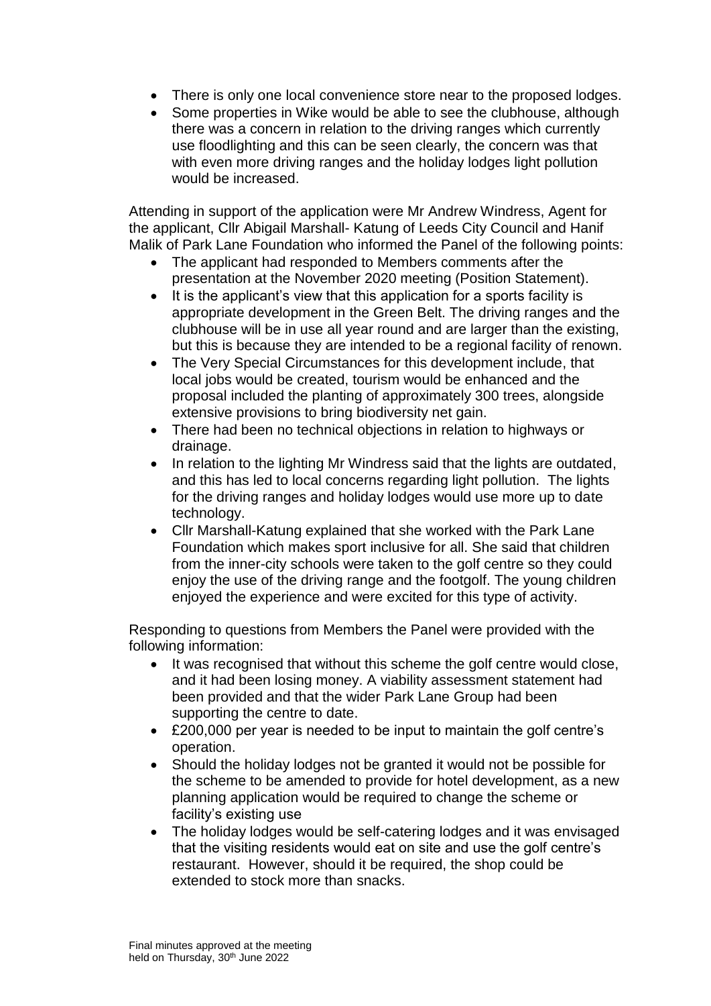- There is only one local convenience store near to the proposed lodges.
- Some properties in Wike would be able to see the clubhouse, although there was a concern in relation to the driving ranges which currently use floodlighting and this can be seen clearly, the concern was that with even more driving ranges and the holiday lodges light pollution would be increased.

Attending in support of the application were Mr Andrew Windress, Agent for the applicant, Cllr Abigail Marshall- Katung of Leeds City Council and Hanif Malik of Park Lane Foundation who informed the Panel of the following points:

- The applicant had responded to Members comments after the presentation at the November 2020 meeting (Position Statement).
- It is the applicant's view that this application for a sports facility is appropriate development in the Green Belt. The driving ranges and the clubhouse will be in use all year round and are larger than the existing, but this is because they are intended to be a regional facility of renown.
- The Very Special Circumstances for this development include, that local jobs would be created, tourism would be enhanced and the proposal included the planting of approximately 300 trees, alongside extensive provisions to bring biodiversity net gain.
- There had been no technical objections in relation to highways or drainage.
- In relation to the lighting Mr Windress said that the lights are outdated, and this has led to local concerns regarding light pollution. The lights for the driving ranges and holiday lodges would use more up to date technology.
- Cllr Marshall-Katung explained that she worked with the Park Lane Foundation which makes sport inclusive for all. She said that children from the inner-city schools were taken to the golf centre so they could enjoy the use of the driving range and the footgolf. The young children enjoyed the experience and were excited for this type of activity.

Responding to questions from Members the Panel were provided with the following information:

- It was recognised that without this scheme the golf centre would close, and it had been losing money. A viability assessment statement had been provided and that the wider Park Lane Group had been supporting the centre to date.
- £200,000 per year is needed to be input to maintain the golf centre's operation.
- Should the holiday lodges not be granted it would not be possible for the scheme to be amended to provide for hotel development, as a new planning application would be required to change the scheme or facility's existing use
- The holiday lodges would be self-catering lodges and it was envisaged that the visiting residents would eat on site and use the golf centre's restaurant. However, should it be required, the shop could be extended to stock more than snacks.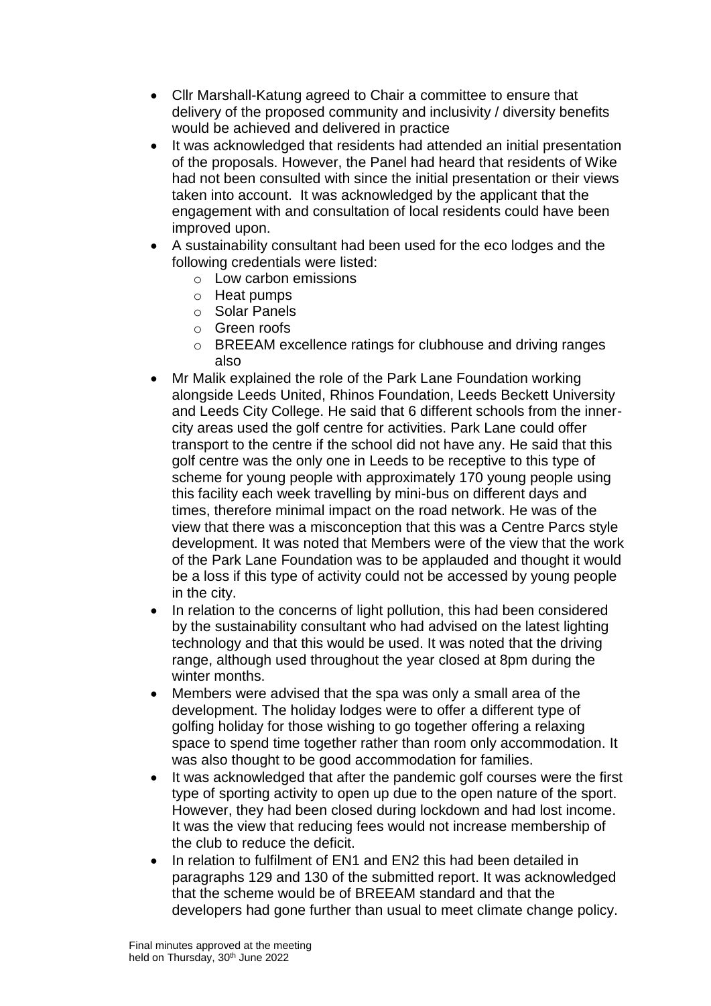- Cllr Marshall-Katung agreed to Chair a committee to ensure that delivery of the proposed community and inclusivity / diversity benefits would be achieved and delivered in practice
- It was acknowledged that residents had attended an initial presentation of the proposals. However, the Panel had heard that residents of Wike had not been consulted with since the initial presentation or their views taken into account. It was acknowledged by the applicant that the engagement with and consultation of local residents could have been improved upon.
- A sustainability consultant had been used for the eco lodges and the following credentials were listed:
	- o Low carbon emissions
	- o Heat pumps
	- o Solar Panels
	- o Green roofs
	- o BREEAM excellence ratings for clubhouse and driving ranges also
- Mr Malik explained the role of the Park Lane Foundation working alongside Leeds United, Rhinos Foundation, Leeds Beckett University and Leeds City College. He said that 6 different schools from the innercity areas used the golf centre for activities. Park Lane could offer transport to the centre if the school did not have any. He said that this golf centre was the only one in Leeds to be receptive to this type of scheme for young people with approximately 170 young people using this facility each week travelling by mini-bus on different days and times, therefore minimal impact on the road network. He was of the view that there was a misconception that this was a Centre Parcs style development. It was noted that Members were of the view that the work of the Park Lane Foundation was to be applauded and thought it would be a loss if this type of activity could not be accessed by young people in the city.
- In relation to the concerns of light pollution, this had been considered by the sustainability consultant who had advised on the latest lighting technology and that this would be used. It was noted that the driving range, although used throughout the year closed at 8pm during the winter months.
- Members were advised that the spa was only a small area of the development. The holiday lodges were to offer a different type of golfing holiday for those wishing to go together offering a relaxing space to spend time together rather than room only accommodation. It was also thought to be good accommodation for families.
- It was acknowledged that after the pandemic golf courses were the first type of sporting activity to open up due to the open nature of the sport. However, they had been closed during lockdown and had lost income. It was the view that reducing fees would not increase membership of the club to reduce the deficit.
- In relation to fulfilment of EN1 and EN2 this had been detailed in paragraphs 129 and 130 of the submitted report. It was acknowledged that the scheme would be of BREEAM standard and that the developers had gone further than usual to meet climate change policy.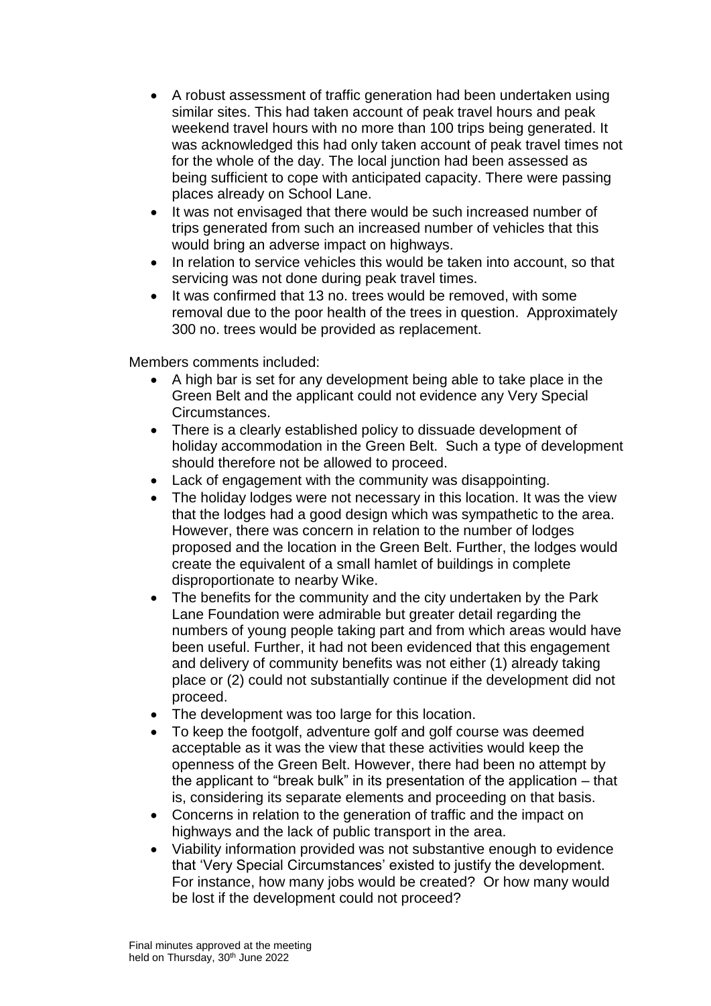- A robust assessment of traffic generation had been undertaken using similar sites. This had taken account of peak travel hours and peak weekend travel hours with no more than 100 trips being generated. It was acknowledged this had only taken account of peak travel times not for the whole of the day. The local junction had been assessed as being sufficient to cope with anticipated capacity. There were passing places already on School Lane.
- It was not envisaged that there would be such increased number of trips generated from such an increased number of vehicles that this would bring an adverse impact on highways.
- In relation to service vehicles this would be taken into account, so that servicing was not done during peak travel times.
- It was confirmed that 13 no. trees would be removed, with some removal due to the poor health of the trees in question. Approximately 300 no. trees would be provided as replacement.

Members comments included:

- A high bar is set for any development being able to take place in the Green Belt and the applicant could not evidence any Very Special Circumstances.
- There is a clearly established policy to dissuade development of holiday accommodation in the Green Belt. Such a type of development should therefore not be allowed to proceed.
- Lack of engagement with the community was disappointing.
- The holiday lodges were not necessary in this location. It was the view that the lodges had a good design which was sympathetic to the area. However, there was concern in relation to the number of lodges proposed and the location in the Green Belt. Further, the lodges would create the equivalent of a small hamlet of buildings in complete disproportionate to nearby Wike.
- The benefits for the community and the city undertaken by the Park Lane Foundation were admirable but greater detail regarding the numbers of young people taking part and from which areas would have been useful. Further, it had not been evidenced that this engagement and delivery of community benefits was not either (1) already taking place or (2) could not substantially continue if the development did not proceed.
- The development was too large for this location.
- To keep the footgolf, adventure golf and golf course was deemed acceptable as it was the view that these activities would keep the openness of the Green Belt. However, there had been no attempt by the applicant to "break bulk" in its presentation of the application – that is, considering its separate elements and proceeding on that basis.
- Concerns in relation to the generation of traffic and the impact on highways and the lack of public transport in the area.
- Viability information provided was not substantive enough to evidence that 'Very Special Circumstances' existed to justify the development. For instance, how many jobs would be created? Or how many would be lost if the development could not proceed?